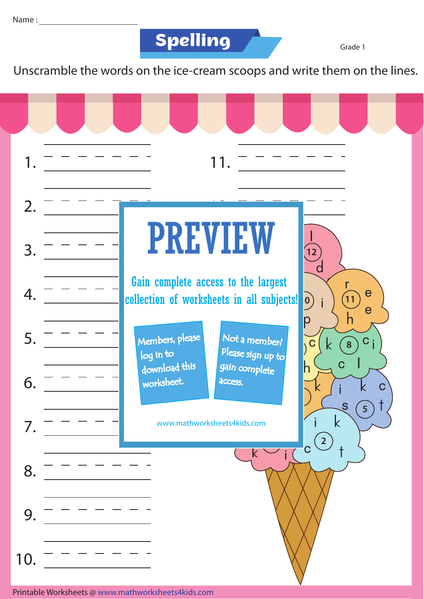

Grade 1

Unscramble the words on the ice-cream scoops and write them on the lines.